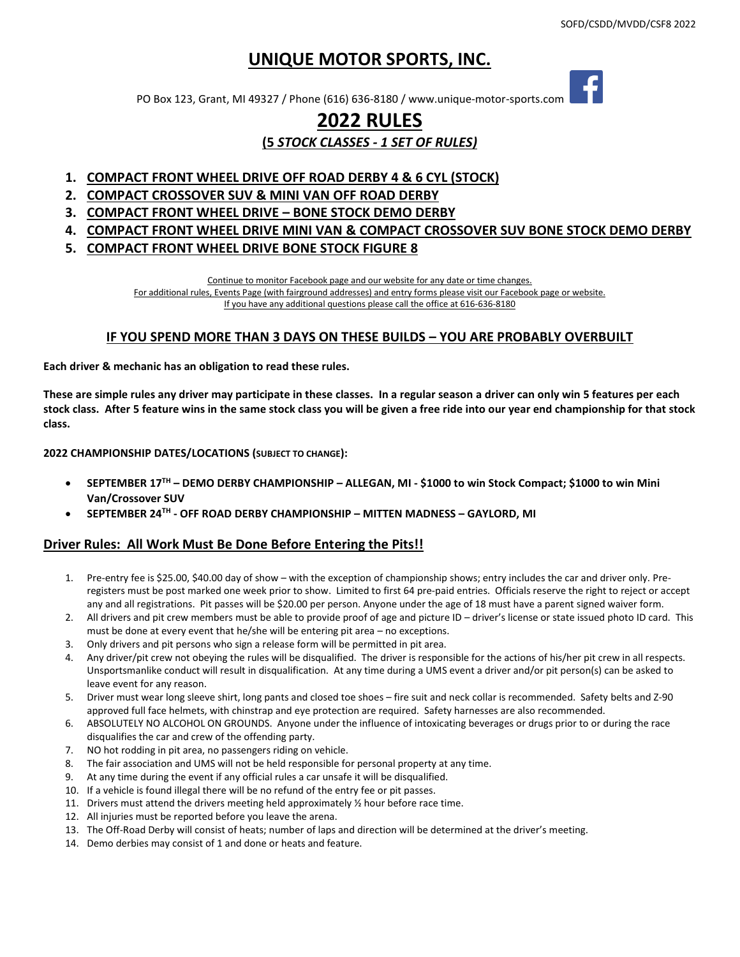# **UNIQUE MOTOR SPORTS, INC.**

PO Box 123, Grant, MI 49327 / Phone (616) 636-8180 / [www.unique-motor-sports.com](http://www.unique-motor-sports.com/)

# **2022 RULES (5** *STOCK CLASSES - 1 SET OF RULES)*

- **1. COMPACT FRONT WHEEL DRIVE OFF ROAD DERBY 4 & 6 CYL (STOCK)**
- **2. COMPACT CROSSOVER SUV & MINI VAN OFF ROAD DERBY**
- **3. COMPACT FRONT WHEEL DRIVE – BONE STOCK DEMO DERBY**
- **4. COMPACT FRONT WHEEL DRIVE MINI VAN & COMPACT CROSSOVER SUV BONE STOCK DEMO DERBY**
- **5. COMPACT FRONT WHEEL DRIVE BONE STOCK FIGURE 8**

Continue to monitor Facebook page and our website for any date or time changes.

For additional rules, Events Page (with fairground addresses) and entry forms please visit our Facebook page or website.

If you have any additional questions please call the office at 616-636-8180

### **IF YOU SPEND MORE THAN 3 DAYS ON THESE BUILDS – YOU ARE PROBABLY OVERBUILT**

**Each driver & mechanic has an obligation to read these rules.**

**These are simple rules any driver may participate in these classes. In a regular season a driver can only win 5 features per each stock class. After 5 feature wins in the same stock class you will be given a free ride into our year end championship for that stock class.**

**2022 CHAMPIONSHIP DATES/LOCATIONS (SUBJECT TO CHANGE):**

- **SEPTEMBER 17TH – DEMO DERBY CHAMPIONSHIP – ALLEGAN, MI - \$1000 to win Stock Compact; \$1000 to win Mini Van/Crossover SUV**
- **SEPTEMBER 24TH - OFF ROAD DERBY CHAMPIONSHIP – MITTEN MADNESS – GAYLORD, MI**

## **Driver Rules: All Work Must Be Done Before Entering the Pits!!**

- 1. Pre-entry fee is \$25.00, \$40.00 day of show with the exception of championship shows; entry includes the car and driver only. Preregisters must be post marked one week prior to show. Limited to first 64 pre-paid entries. Officials reserve the right to reject or accept any and all registrations. Pit passes will be \$20.00 per person. Anyone under the age of 18 must have a parent signed waiver form.
- 2. All drivers and pit crew members must be able to provide proof of age and picture ID driver's license or state issued photo ID card. This must be done at every event that he/she will be entering pit area – no exceptions.
- 3. Only drivers and pit persons who sign a release form will be permitted in pit area.
- 4. Any driver/pit crew not obeying the rules will be disqualified. The driver is responsible for the actions of his/her pit crew in all respects. Unsportsmanlike conduct will result in disqualification. At any time during a UMS event a driver and/or pit person(s) can be asked to leave event for any reason.
- 5. Driver must wear long sleeve shirt, long pants and closed toe shoes fire suit and neck collar is recommended. Safety belts and Z-90 approved full face helmets, with chinstrap and eye protection are required. Safety harnesses are also recommended.
- 6. ABSOLUTELY NO ALCOHOL ON GROUNDS. Anyone under the influence of intoxicating beverages or drugs prior to or during the race disqualifies the car and crew of the offending party.
- 7. NO hot rodding in pit area, no passengers riding on vehicle.
- 8. The fair association and UMS will not be held responsible for personal property at any time.
- 9. At any time during the event if any official rules a car unsafe it will be disqualified.
- 10. If a vehicle is found illegal there will be no refund of the entry fee or pit passes.
- 11. Drivers must attend the drivers meeting held approximately ½ hour before race time.
- 12. All injuries must be reported before you leave the arena.
- 13. The Off-Road Derby will consist of heats; number of laps and direction will be determined at the driver's meeting.
- 14. Demo derbies may consist of 1 and done or heats and feature.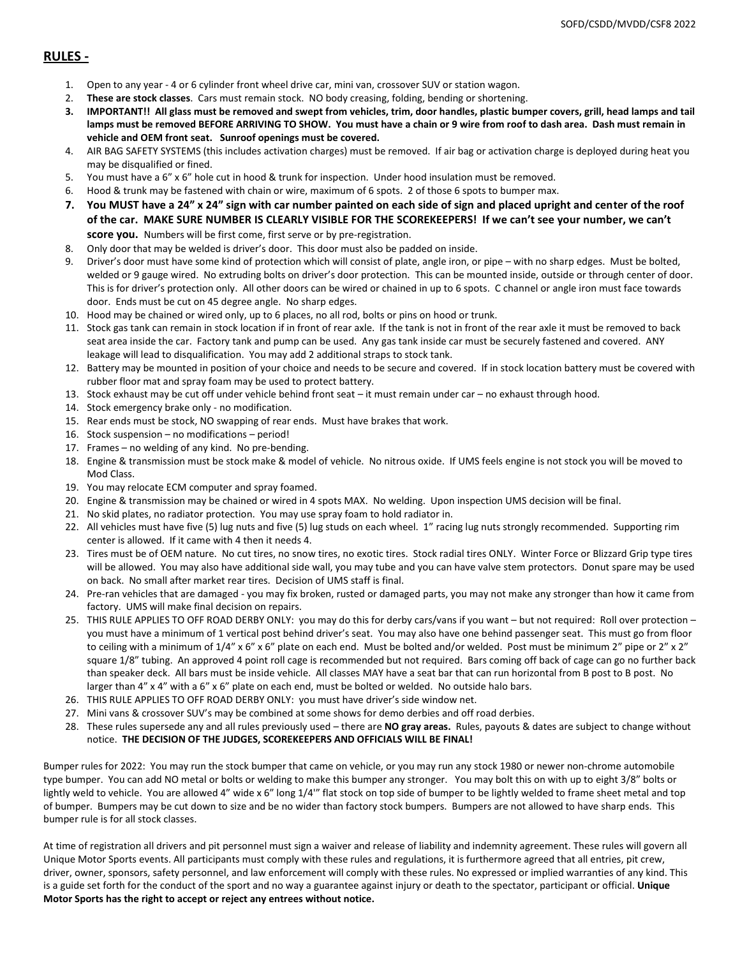## **RULES -**

- 1. Open to any year 4 or 6 cylinder front wheel drive car, mini van, crossover SUV or station wagon.
- 2. **These are stock classes**. Cars must remain stock. NO body creasing, folding, bending or shortening.
- **3. IMPORTANT!! All glass must be removed and swept from vehicles, trim, door handles, plastic bumper covers, grill, head lamps and tail lamps must be removed BEFORE ARRIVING TO SHOW. You must have a chain or 9 wire from roof to dash area. Dash must remain in vehicle and OEM front seat. Sunroof openings must be covered.**
- 4. AIR BAG SAFETY SYSTEMS (this includes activation charges) must be removed. If air bag or activation charge is deployed during heat you may be disqualified or fined.
- 5. You must have a 6" x 6" hole cut in hood & trunk for inspection. Under hood insulation must be removed.
- 6. Hood & trunk may be fastened with chain or wire, maximum of 6 spots. 2 of those 6 spots to bumper max.
- **7. You MUST have a 24" x 24" sign with car number painted on each side of sign and placed upright and center of the roof of the car. MAKE SURE NUMBER IS CLEARLY VISIBLE FOR THE SCOREKEEPERS! If we can't see your number, we can't score you.** Numbers will be first come, first serve or by pre-registration.
- 8. Only door that may be welded is driver's door. This door must also be padded on inside.
- 9. Driver's door must have some kind of protection which will consist of plate, angle iron, or pipe with no sharp edges. Must be bolted, welded or 9 gauge wired. No extruding bolts on driver's door protection. This can be mounted inside, outside or through center of door. This is for driver's protection only. All other doors can be wired or chained in up to 6 spots. C channel or angle iron must face towards door. Ends must be cut on 45 degree angle. No sharp edges.
- 10. Hood may be chained or wired only, up to 6 places, no all rod, bolts or pins on hood or trunk.
- 11. Stock gas tank can remain in stock location if in front of rear axle. If the tank is not in front of the rear axle it must be removed to back seat area inside the car. Factory tank and pump can be used. Any gas tank inside car must be securely fastened and covered. ANY leakage will lead to disqualification. You may add 2 additional straps to stock tank.
- 12. Battery may be mounted in position of your choice and needs to be secure and covered. If in stock location battery must be covered with rubber floor mat and spray foam may be used to protect battery.
- 13. Stock exhaust may be cut off under vehicle behind front seat it must remain under car no exhaust through hood.
- 14. Stock emergency brake only no modification.
- 15. Rear ends must be stock, NO swapping of rear ends. Must have brakes that work.
- 16. Stock suspension no modifications period!
- 17. Frames no welding of any kind. No pre-bending.
- 18. Engine & transmission must be stock make & model of vehicle. No nitrous oxide. If UMS feels engine is not stock you will be moved to Mod Class.
- 19. You may relocate ECM computer and spray foamed.
- 20. Engine & transmission may be chained or wired in 4 spots MAX. No welding. Upon inspection UMS decision will be final.
- 21. No skid plates, no radiator protection. You may use spray foam to hold radiator in.
- 22. All vehicles must have five (5) lug nuts and five (5) lug studs on each wheel. 1" racing lug nuts strongly recommended. Supporting rim center is allowed. If it came with 4 then it needs 4.
- 23. Tires must be of OEM nature. No cut tires, no snow tires, no exotic tires. Stock radial tires ONLY. Winter Force or Blizzard Grip type tires will be allowed. You may also have additional side wall, you may tube and you can have valve stem protectors. Donut spare may be used on back. No small after market rear tires. Decision of UMS staff is final.
- 24. Pre-ran vehicles that are damaged you may fix broken, rusted or damaged parts, you may not make any stronger than how it came from factory. UMS will make final decision on repairs.
- 25. THIS RULE APPLIES TO OFF ROAD DERBY ONLY: you may do this for derby cars/vans if you want but not required: Roll over protection you must have a minimum of 1 vertical post behind driver's seat. You may also have one behind passenger seat. This must go from floor to ceiling with a minimum of  $1/4$ " x 6" x 6" plate on each end. Must be bolted and/or welded. Post must be minimum 2" pipe or 2" x 2" square 1/8" tubing. An approved 4 point roll cage is recommended but not required. Bars coming off back of cage can go no further back than speaker deck. All bars must be inside vehicle. All classes MAY have a seat bar that can run horizontal from B post to B post. No larger than 4" x 4" with a 6" x 6" plate on each end, must be bolted or welded. No outside halo bars.
- 26. THIS RULE APPLIES TO OFF ROAD DERBY ONLY: you must have driver's side window net.
- 27. Mini vans & crossover SUV's may be combined at some shows for demo derbies and off road derbies.
- 28. These rules supersede any and all rules previously used there are **NO gray areas.** Rules, payouts & dates are subject to change without notice. **THE DECISION OF THE JUDGES, SCOREKEEPERS AND OFFICIALS WILL BE FINAL!**

Bumper rules for 2022: You may run the stock bumper that came on vehicle, or you may run any stock 1980 or newer non-chrome automobile type bumper. You can add NO metal or bolts or welding to make this bumper any stronger. You may bolt this on with up to eight 3/8" bolts or lightly weld to vehicle. You are allowed 4" wide x 6" long 1/4" flat stock on top side of bumper to be lightly welded to frame sheet metal and top of bumper. Bumpers may be cut down to size and be no wider than factory stock bumpers. Bumpers are not allowed to have sharp ends. This bumper rule is for all stock classes.

At time of registration all drivers and pit personnel must sign a waiver and release of liability and indemnity agreement. These rules will govern all Unique Motor Sports events. All participants must comply with these rules and regulations, it is furthermore agreed that all entries, pit crew, driver, owner, sponsors, safety personnel, and law enforcement will comply with these rules. No expressed or implied warranties of any kind. This is a guide set forth for the conduct of the sport and no way a guarantee against injury or death to the spectator, participant or official. **Unique Motor Sports has the right to accept or reject any entrees without notice.**